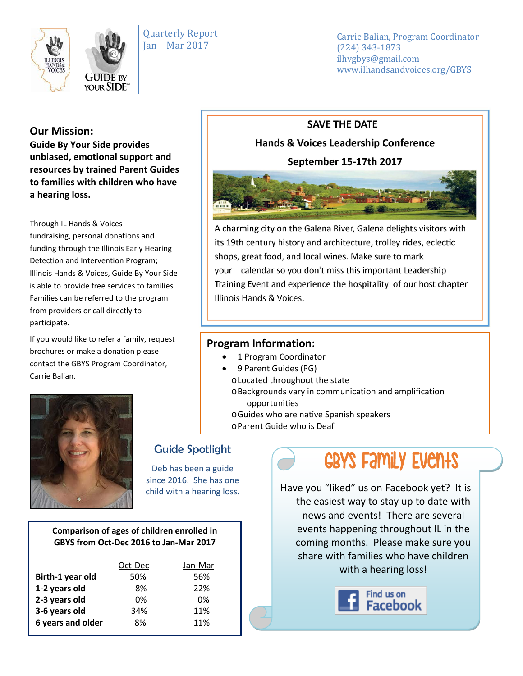

Quarterly Report Jan – Mar 2017

Carrie Balian, Program Coordinator (224) 343-1873 ilhvgbys@gmail.com www.ilhandsandvoices.org/GBYS

### **Our Mission:**

**Guide By Your Side provides unbiased, emotional support and resources by trained Parent Guides to families with children who have a hearing loss.** 

Through IL Hands & Voices fundraising, personal donations and funding through the Illinois Early Hearing Detection and Intervention Program; Illinois Hands & Voices, Guide By Your Side is able to provide free services to families. Families can be referred to the program from providers or call directly to participate.

If you would like to refer a family, request brochures or make a donation please contact the GBYS Program Coordinator, Carrie Balian.



A charming city on the Galena River, Galena delights visitors with its 19th century history and architecture, trolley rides, eclectic shops, great food, and local wines. Make sure to mark your calendar so you don't miss this important Leadership Training Event and experience the hospitality of our host chapter Illinois Hands & Voices.

## **Program Information:**

- 1 Program Coordinator
- 9 Parent Guides (PG)
	- oLocated throughout the state
	- oBackgrounds vary in communication and amplification opportunities
	- oGuides who are native Spanish speakers
	- oParent Guide who is Deaf



# Guide Spotlight

Deb has been a guide since 2016. She has one child with a hearing loss.

#### **Comparison of ages of children enrolled in GBYS from Oct-Dec 2016 to Jan-Mar 2017**

|                   | Oct-Dec | Jan-Mar |
|-------------------|---------|---------|
| Birth-1 year old  | 50%     | 56%     |
| 1-2 years old     | 8%      | 22%     |
| 2-3 years old     | 0%      | 0%      |
| 3-6 years old     | 34%     | 11%     |
| 6 years and older | 8%      | 11%     |

# GBYS Family Events

Have you "liked" us on Facebook yet? It is the easiest way to stay up to date with news and events! There are several events happening throughout IL in the coming months. Please make sure you share with families who have children with a hearing loss!